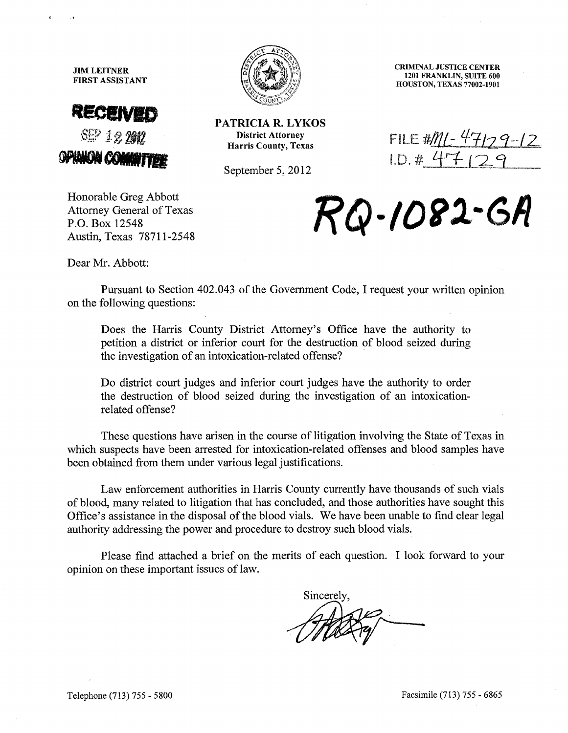JIM LEITNER **FIRST ASSISTANT** 





**PATRICIA R. LYKOS**  District Attorney Harris County, Texas

September 5, 2012

CRIMINAL JUSTICE CENTER 1201 FRANKLIN, SUITE 600 HOUSTON, TEXAS 77002-1901

FILE *#/llL:* 11/29--/ ~  $LD. # 47129$ 

Honorable Greg Abbott Attorney General of Texas P.O. Box 12548 Austin, Texas 78711-2548

RQ-1082-GA

Dear Mr. Abbott:

Pursuant to Section 402.043 of the Government Code, I request your written opinion on the following questions:

Does the Harris County District Attorney's Office have the authority to petition a district or inferior court for the destruction of blood seized during the investigation of an intoxication-related offense?

Do district court judges and inferior court judges have the authority to order the destruction of blood seized during the investigation of an intoxicationrelated offense?

These questions have arisen in the course of litigation involving the State of Texas in which suspects have been arrested for intoxication-related offenses and blood samples have been obtained from them under various legal justifications.

Law enforcement authorities in Harris County currently have thousands of such vials of blood, many related to litigation that has concluded, and those authorities have sought this Office's assistance in the disposal of the blood vials. We have been unable to find clear legal authority addressing the power and procedure to destroy such blood vials.

Please find attached a brief on the merits of each question. I look forward to your opinion on these important issues of law.

Sincerely.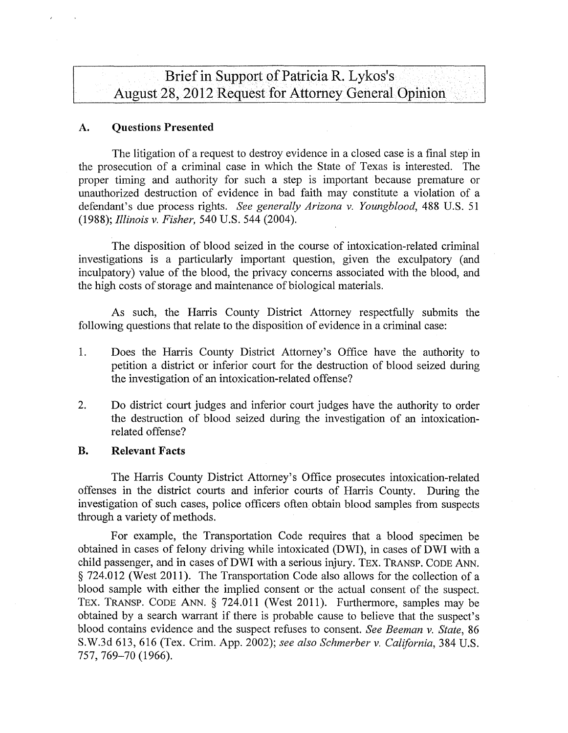Brief in Support of Patricia R. Lykos's August 28, 2012 Request for Attorney General Opinion

### A. Questions Presented

The litigation of a request to destroy evidence in a closed case is a final step in the prosecution of a criminal case in which the State of Texas is interested. The proper timing and authority for such a step is important because premature or unauthorized destruction of evidence in bad faith may constitute a violation of a defendant's due process rights. *See generally Arizona* v. *Youngblood,* 488 U.S. 51 *(1988); Illinois* v. *Fisher,* 540 U.S. 544 (2004).

The disposition of blood seized in the course of intoxication-related criminal investigations is a particularly important question, given the exculpatory (and inculpatory) value of the blood, the privacy concerns associated with the blood, and the high costs of storage and maintenance of biological materials.

As such, the Harris County District Attorney respectfully submits the following questions that relate to the disposition of evidence in a criminal case:

- 1. Does the Harris County District Attorney's Office have the authority to petition a district or inferior court for the destruction of blood seized during the investigation of an intoxication-related offense?
- 2. Do district court judges and inferior court judges have the authority to order the destruction of blood seized during the investigation of an intoxicationrelated offense?

## B. Relevant Facts

The Harris County District Attorney's Office prosecutes intoxication-related offenses in the district courts and inferior courts of Harris County. During the investigation of such cases, police officers often obtain blood samples from suspects through a variety of methods.

For example, the Transportation Code requires that a blood specimen be obtained in cases of felony driving while intoxicated (DWI), in cases of DWI with a child passenger, and in cases of DWI with a serious injury. TEX. TRANSP, CODE ANN. § 724.012 (West 2011). The Transportation Code also allows for the collection of a blood sample with either the implied consent or the actual consent of the suspect. TEX. TRANSP. CODE ANN. § 724.011 (West 2011). Furthermore, samples may be obtained by a search warrant if there is probable cause to believe that the suspect's blood contains evidence and the suspect refuses to consent. *See Beeman* v. *State, 86*  S.W.3d 613,616 (Tex. Crim. App. 2002); *see also Schmerber* v. *California,* 384 U.S. 757, 769-70 (1966).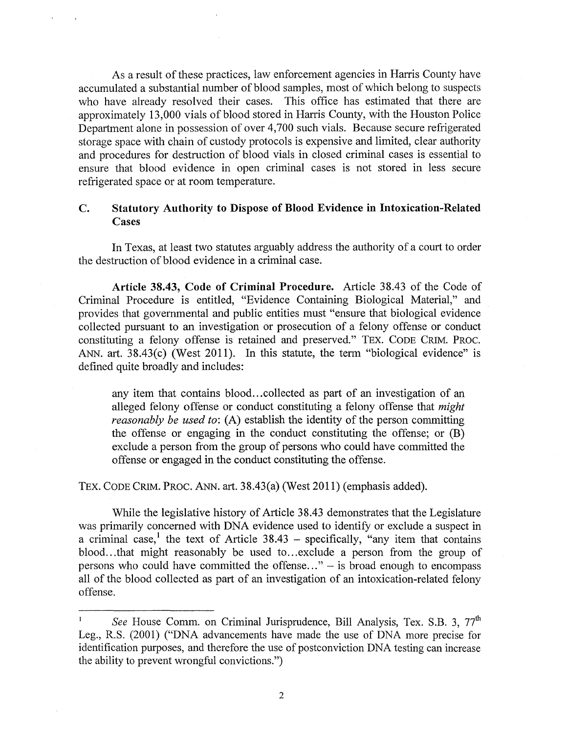As a result of these practices, law enforcement agencies in Harris County have accumulated a substantial number of blood samples, most of which belong to suspects who have already resolved their cases. This office has estimated that there are approximately 13,000 vials of blood stored in Harris County, with the Houston Police Department alone in possession of over 4,700 such vials. Because secure refrigerated storage space with chain of custody protocols is expensive and limited, clear authority and procedures for destruction of blood vials in closed criminal cases is essential to ensure that blood evidence in open criminal cases is not stored in less secure refrigerated space or at room temperature.

# C. Statutory Authority to Dispose of Blood Evidence in Intoxication-Related Cases

In Texas, at least two statutes arguably address the authority of a court to order the destruction of blood evidence in a criminal case.

Article 38.43, Code of Criminal Procedure. Article 38.43 of the Code of Criminal Procedure is entitled, "Evidence Containing Biological Material," and provides that governmental and public entities must "ensure that biological evidence collected pursuant to an investigation or prosecution of a felony offense or conduct constituting a felony offense is retained and preserved." TEX. CODE CRIM. PROC. ANN. art. 38.43(c) (West 2011). In this statute, the term "biological evidence" is defined quite broadly and includes:

any item that contains blood...collected as part of an investigation of an alleged felony offense or conduct constituting a felony offense that *might reasonably be used to:* (A) establish the identity of the person committing the offense or engaging in the conduct constituting the offense; or (B) exclude a person from the group of persons who could have committed the offense or engaged in the conduct constituting the offense.

TEX. CODE CRIM. PROC. ANN. art. 38.43(a) (West 2011) (emphasis added).

While the legislative history of Article 38.43 demonstrates that the Legislature was primarily concerned with DNA evidence used to identify or exclude a suspect in a criminal case,<sup>1</sup> the text of Article  $38.43$  – specifically, "any item that contains blood... that might reasonably be used to ... exclude a person from the group of persons who could have committed the offense..."  $-$  is broad enough to encompass all of the blood collected as part of an investigation of an intoxication-related felony offense.

 $\mathbf{I}$ *See* House Comm. on Criminal Jurisprudence, Bill Analysis, Tex. S.B. 3, 77<sup>th</sup> Leg., R.S. (2001) ("DNA advancements have made the use of DNA more precise for identification purposes, and therefore the use of postconviction DNA testing can increase the ability to prevent wrongful convictions.")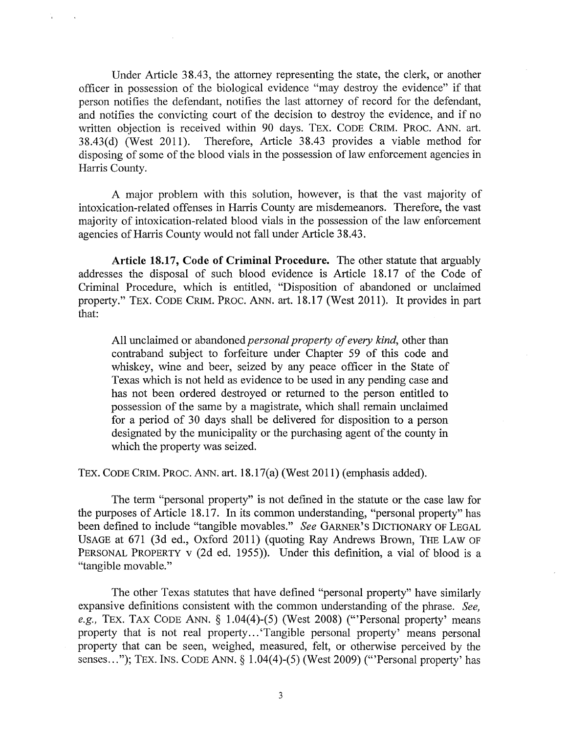Under Article 38.43, the attorney representing the state, the clerk, or another officer in possession of the biological evidence "may destroy the evidence" if that person notifies the defendant, notifies the last attorney of record for the defendant, and notifies the convicting court of the decision to destroy the evidence, and if no written objection is received within 90 days. TEX. CODE CRIM. PROC. ANN. art. 38.43(d) (West 2011). Therefore, Article 38.43 provides a viable method for Therefore, Article 38.43 provides a viable method for disposing of some of the blood vials in the possession of law enforcement agencies in Harris County.

A major problem with this solution, however, is that the vast majority of intoxication-related offenses in Harris County are misdemeanors. Therefore, the vast majority of intoxication-related blood vials in the possession of the law enforcement agencies of Harris County would not fall under Article 38.43.

**Article 18.17, Code of Criminal Procedure.** The other statute that arguably addresses the disposal of such blood evidence is Article 18.17 of the Code of Criminal Procedure, which is entitled, "Disposition of abandoned or unclaimed property." TEX. CODE CRlM. PROC. ANN. art. 18.17 (West 2011). It provides in part that:

All unclaimed or abandoned *personal property of every kind,* other than contraband subject to forfeiture under Chapter 59 of this code and whiskey, wine and beer, seized by any peace officer in the State of Texas which is not held as evidence to be used in any pending case and has not been ordered destroyed or returned to the person entitled to possession of the same by a magistrate, which shall remain unclaimed for a period of 30 days shall be delivered for disposition to a person designated by the municipality or the purchasing agent of the county in which the property was seized.

TEX. CODE CRlM. PROC. ANN. art. 18.17(a) (West 2011) (emphasis added).

The term "personal property" is not defined in the statute or the case law for the purposes of Article 18.17. In its common understanding, "personal property" has been defined to include "tangible movables." *See* GARNER'S DICTIONARY OF LEGAL USAGE at 671 (3d ed., Oxford 2011) (quoting Ray Andrews Brown, THE LAW OF PERSONAL PROPERTY v (2d ed. 1955)). Under this definition, a vial of blood is a "tangible movable."

The other Texas statutes that have defined "personal property" have similarly expansive definitions consistent with the common understanding of the phrase. *See, e.g.,* TEX. TAX CODE ANN. § 1.04(4)-(5) (West 2008) ('''Personal property' means property that is not real property ... 'Tangible personal property' means personal property that can be seen, weighed, measured, felt, or otherwise perceived by the senses..."); TEX. INS. CODE ANN. § 1.04(4)-(5) (West 2009) ("Personal property' has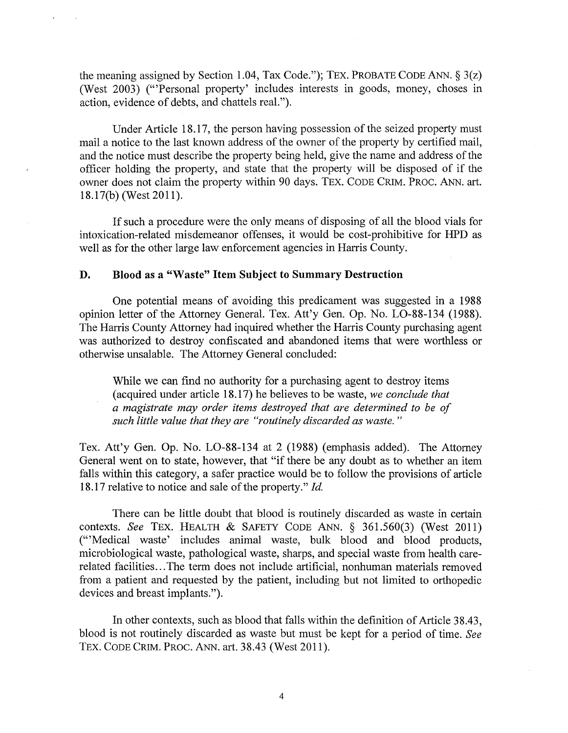the meaning assigned by Section 1.04, Tax Code."); TEX. PROBATE CODE ANN.  $\S 3(z)$ (West 2003) ("Personal property' includes interests in goods, money, choses in action, evidence of debts, and chattels real.").

Under Article 18.17, the person having possession of the seized property must mail a notice to the last known address of the owner of the property by certified mail, and the notice must describe the property being held, give the name and address of the officer holding the property, and state that the property will be disposed of if the owner does not claim the property within 90 days. TEX. CODE CRIM. PROC. ANN. art. 18.17(b) (West 2011).

If such a procedure were the only means of disposing of all the blood vials for intoxication-related misdemeanor offenses, it would be cost-prohibitive for HPD as well as for the other large law enforcement agencies in Harris County.

### **D. Blood** as a "Waste" **Item Subject to Summary Destruction**

One potential means of avoiding this predicament was suggested in a 1988 opinion letter of the Attorney General. Tex. Att'y Gen. Op. No. LO-88-134 (1988). The Harris County Attorney had inquired whether the Harris County purchasing agent was authorized to destroy confiscated and abandoned items that were worthless or otherwise unsalable. The Attorney General concluded:

While we can find no authority for a purchasing agent to destroy items (acquired under article 18.17) he believes to be waste, *we conclude that a magistrate may order items destroyed that are determined to be of such little value that they are "routinely discarded as waste. "* 

Tex. Att'y Gen. Op. No. LO-88-134 at 2 (1988) (emphasis added). The Attorney General went on to state, however, that "if there be any doubt as to whether an item falls within this category, a safer practice would be to follow the provisions of article 18.17 relative to notice and sale of the property." *Id.* 

There can be little doubt that blood is routinely discarded as waste in certain contexts. *See* TEX. HEALTH & SAFETY CODE ANN. § 361.560(3) (West 2011) ('''Medical waste' includes animal waste, bulk blood and blood products, microbiological waste, pathological waste, sharps, and special waste from health carerelated facilities ... The term does not include artificial, nonhuman materials removed from a patient and requested by the patient, including but not limited to orthopedic devices and breast implants.").

In other contexts, such as blood that falls within the definition of Article 38.43, blood is not routinely discarded as waste but must be kept for a period of time. *See*  TEX. CODE CRIM. PROC. ANN. art. 38.43 (West 2011).